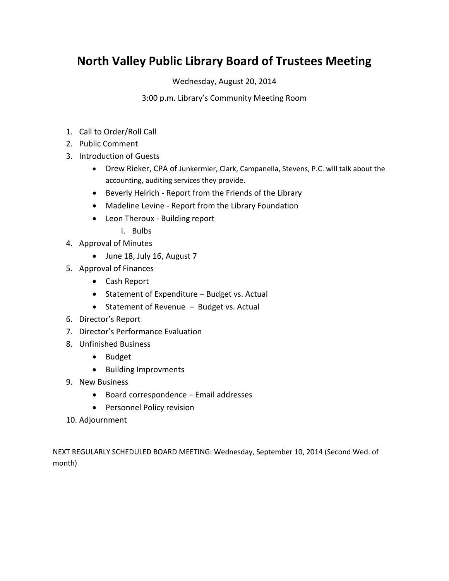# **North Valley Public Library Board of Trustees Meeting**

Wednesday, August 20, 2014

## 3:00 p.m. Library's Community Meeting Room

- 1. Call to Order/Roll Call
- 2. Public Comment
- 3. Introduction of Guests
	- Drew Rieker, CPA of Junkermier, Clark, Campanella, Stevens, P.C. will talk about the accounting, auditing services they provide.
	- Beverly Helrich Report from the Friends of the Library
	- Madeline Levine Report from the Library Foundation
	- Leon Theroux Building report
		- i. Bulbs
- 4. Approval of Minutes
	- June 18, July 16, August 7
- 5. Approval of Finances
	- Cash Report
	- Statement of Expenditure Budget vs. Actual
	- $\bullet$  Statement of Revenue Budget vs. Actual
- 6. Director's Report
- 7. Director's Performance Evaluation
- 8. Unfinished Business
	- Budget
	- Building Improvments
- 9. New Business
	- Board correspondence Email addresses
	- **•** Personnel Policy revision
- 10. Adjournment

NEXT REGULARLY SCHEDULED BOARD MEETING: Wednesday, September 10, 2014 (Second Wed. of month)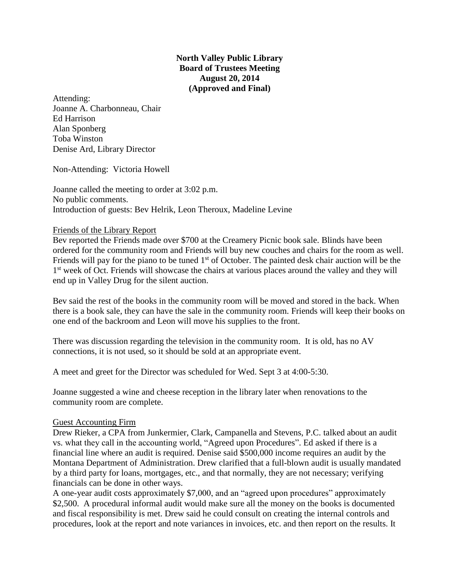**North Valley Public Library Board of Trustees Meeting August 20, 2014 (Approved and Final)**

Attending: Joanne A. Charbonneau, Chair Ed Harrison Alan Sponberg Toba Winston Denise Ard, Library Director

Non-Attending: Victoria Howell

Joanne called the meeting to order at 3:02 p.m. No public comments. Introduction of guests: Bev Helrik, Leon Theroux, Madeline Levine

#### Friends of the Library Report

Bev reported the Friends made over \$700 at the Creamery Picnic book sale. Blinds have been ordered for the community room and Friends will buy new couches and chairs for the room as well. Friends will pay for the piano to be tuned  $1<sup>st</sup>$  of October. The painted desk chair auction will be the 1<sup>st</sup> week of Oct. Friends will showcase the chairs at various places around the valley and they will end up in Valley Drug for the silent auction.

Bev said the rest of the books in the community room will be moved and stored in the back. When there is a book sale, they can have the sale in the community room. Friends will keep their books on one end of the backroom and Leon will move his supplies to the front.

There was discussion regarding the television in the community room. It is old, has no AV connections, it is not used, so it should be sold at an appropriate event.

A meet and greet for the Director was scheduled for Wed. Sept 3 at 4:00-5:30.

Joanne suggested a wine and cheese reception in the library later when renovations to the community room are complete.

#### Guest Accounting Firm

Drew Rieker, a CPA from Junkermier, Clark, Campanella and Stevens, P.C. talked about an audit vs. what they call in the accounting world, "Agreed upon Procedures". Ed asked if there is a financial line where an audit is required. Denise said \$500,000 income requires an audit by the Montana Department of Administration. Drew clarified that a full-blown audit is usually mandated by a third party for loans, mortgages, etc., and that normally, they are not necessary; verifying financials can be done in other ways.

A one-year audit costs approximately \$7,000, and an "agreed upon procedures" approximately \$2,500. A procedural informal audit would make sure all the money on the books is documented and fiscal responsibility is met. Drew said he could consult on creating the internal controls and procedures, look at the report and note variances in invoices, etc. and then report on the results. It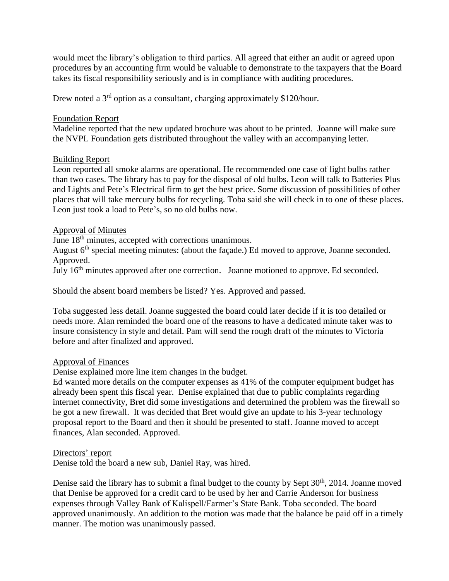would meet the library's obligation to third parties. All agreed that either an audit or agreed upon procedures by an accounting firm would be valuable to demonstrate to the taxpayers that the Board takes its fiscal responsibility seriously and is in compliance with auditing procedures.

Drew noted a 3<sup>rd</sup> option as a consultant, charging approximately \$120/hour.

### Foundation Report

Madeline reported that the new updated brochure was about to be printed. Joanne will make sure the NVPL Foundation gets distributed throughout the valley with an accompanying letter.

### Building Report

Leon reported all smoke alarms are operational. He recommended one case of light bulbs rather than two cases. The library has to pay for the disposal of old bulbs. Leon will talk to Batteries Plus and Lights and Pete's Electrical firm to get the best price. Some discussion of possibilities of other places that will take mercury bulbs for recycling. Toba said she will check in to one of these places. Leon just took a load to Pete's, so no old bulbs now.

### Approval of Minutes

June 18<sup>th</sup> minutes, accepted with corrections unanimous.

August 6<sup>th</sup> special meeting minutes: (about the façade.) Ed moved to approve, Joanne seconded. Approved.

July 16th minutes approved after one correction. Joanne motioned to approve. Ed seconded.

Should the absent board members be listed? Yes. Approved and passed.

Toba suggested less detail. Joanne suggested the board could later decide if it is too detailed or needs more. Alan reminded the board one of the reasons to have a dedicated minute taker was to insure consistency in style and detail. Pam will send the rough draft of the minutes to Victoria before and after finalized and approved.

### Approval of Finances

Denise explained more line item changes in the budget.

Ed wanted more details on the computer expenses as 41% of the computer equipment budget has already been spent this fiscal year. Denise explained that due to public complaints regarding internet connectivity, Bret did some investigations and determined the problem was the firewall so he got a new firewall. It was decided that Bret would give an update to his 3-year technology proposal report to the Board and then it should be presented to staff. Joanne moved to accept finances, Alan seconded. Approved.

#### Directors' report

Denise told the board a new sub, Daniel Ray, was hired.

Denise said the library has to submit a final budget to the county by Sept 30<sup>th</sup>, 2014. Joanne moved that Denise be approved for a credit card to be used by her and Carrie Anderson for business expenses through Valley Bank of Kalispell/Farmer's State Bank. Toba seconded. The board approved unanimously. An addition to the motion was made that the balance be paid off in a timely manner. The motion was unanimously passed.